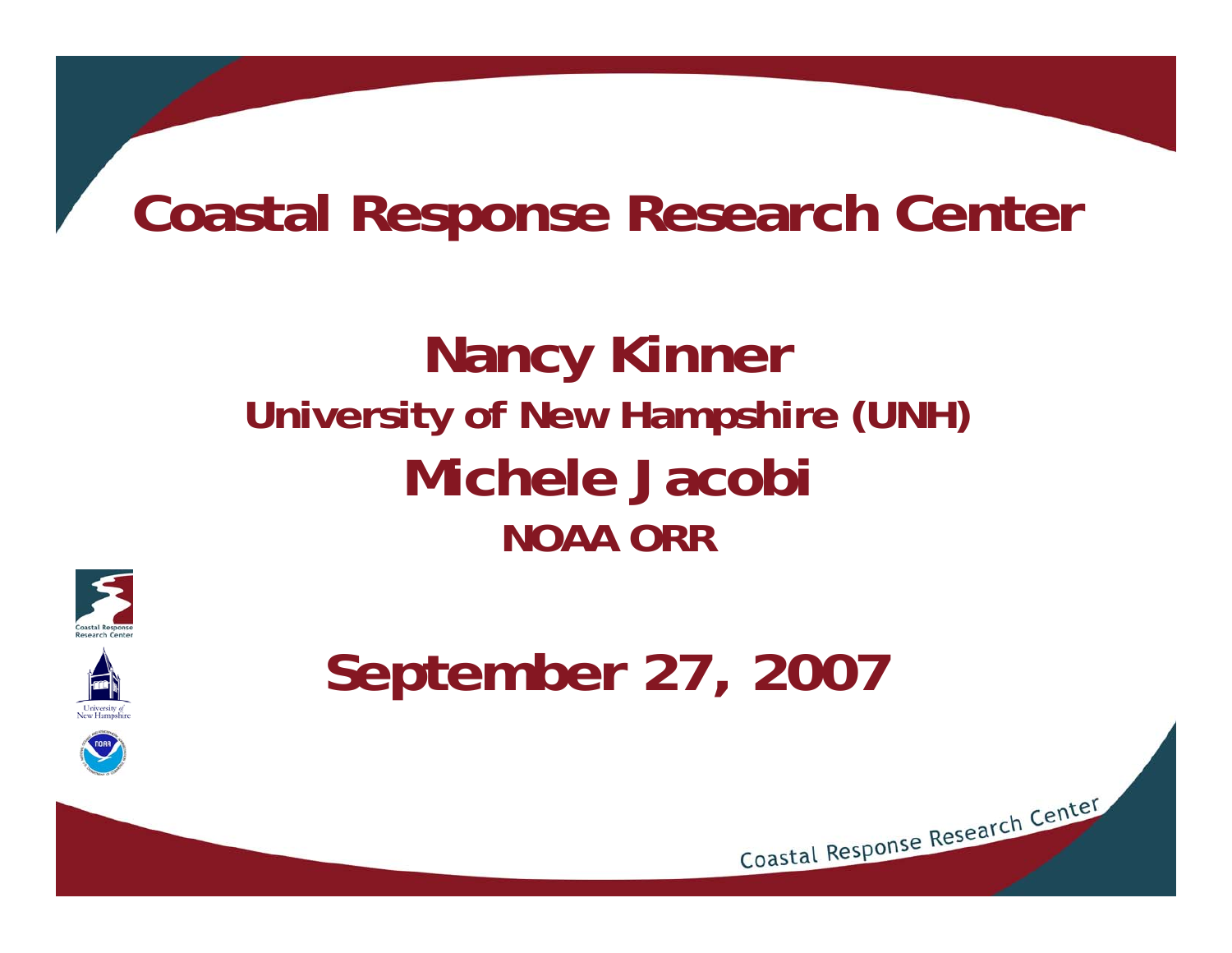## **Coastal Response Research Center**

## **Nancy Kinner University of New Hampshire (UNH) Michele Jacobi NOAA ORR**



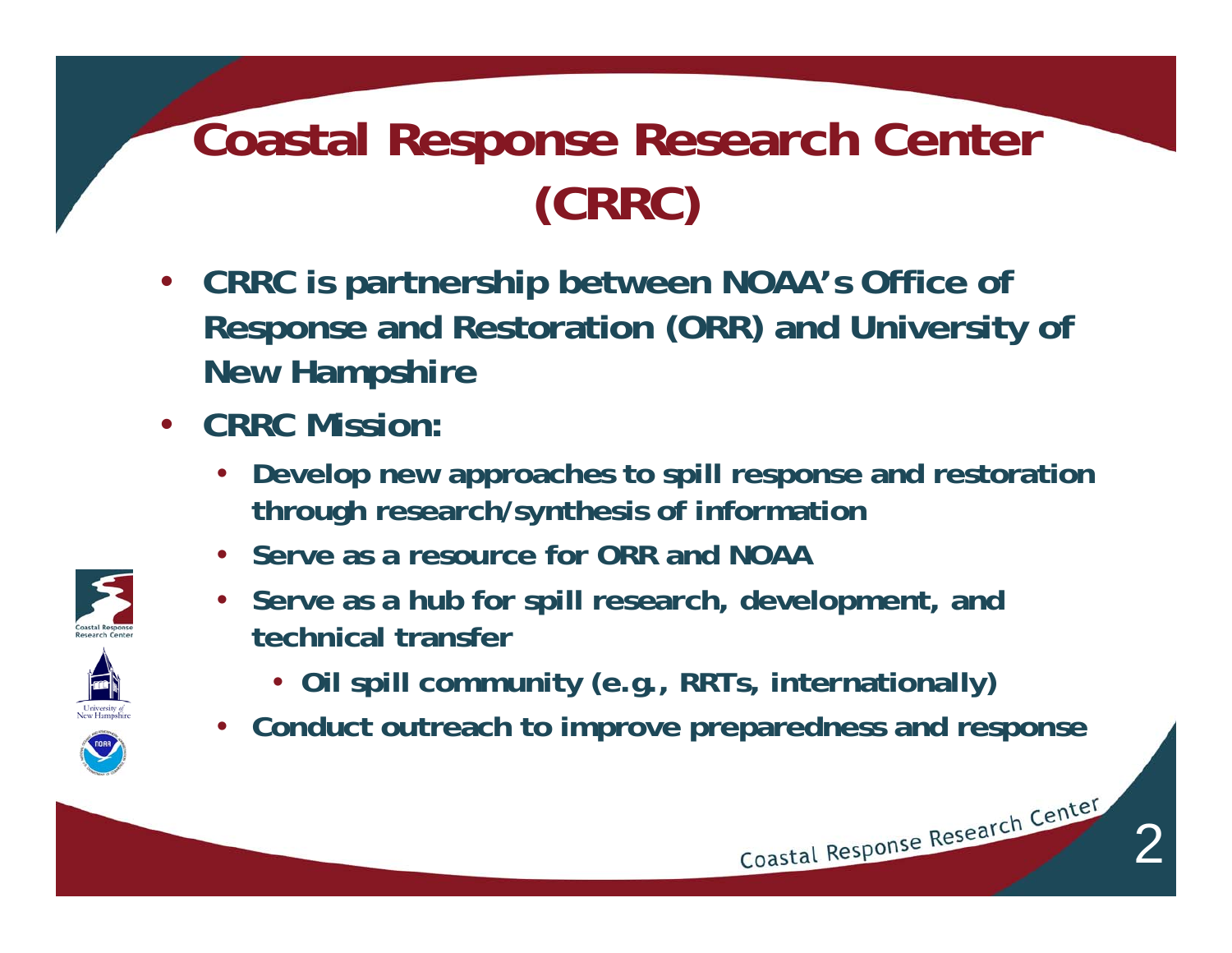## **Coastal Response Research Center (CRRC)**

- **CRRC is partnership between NOAA's Office of Response and Restoration (ORR) and University of New Hampshire**
- **CRRC Mission:**
	- **Develop new approaches to spill response and restoration through research/synthesis of information**
	- **Serve as a resource for ORR and NOAA**
	- **Serve as a hub for spill research, development, and technical transfer**
		- **Oil spill community (e.g., RRTs, internationally)**
	- **Conduct outreach to improve preparedness and response**

2

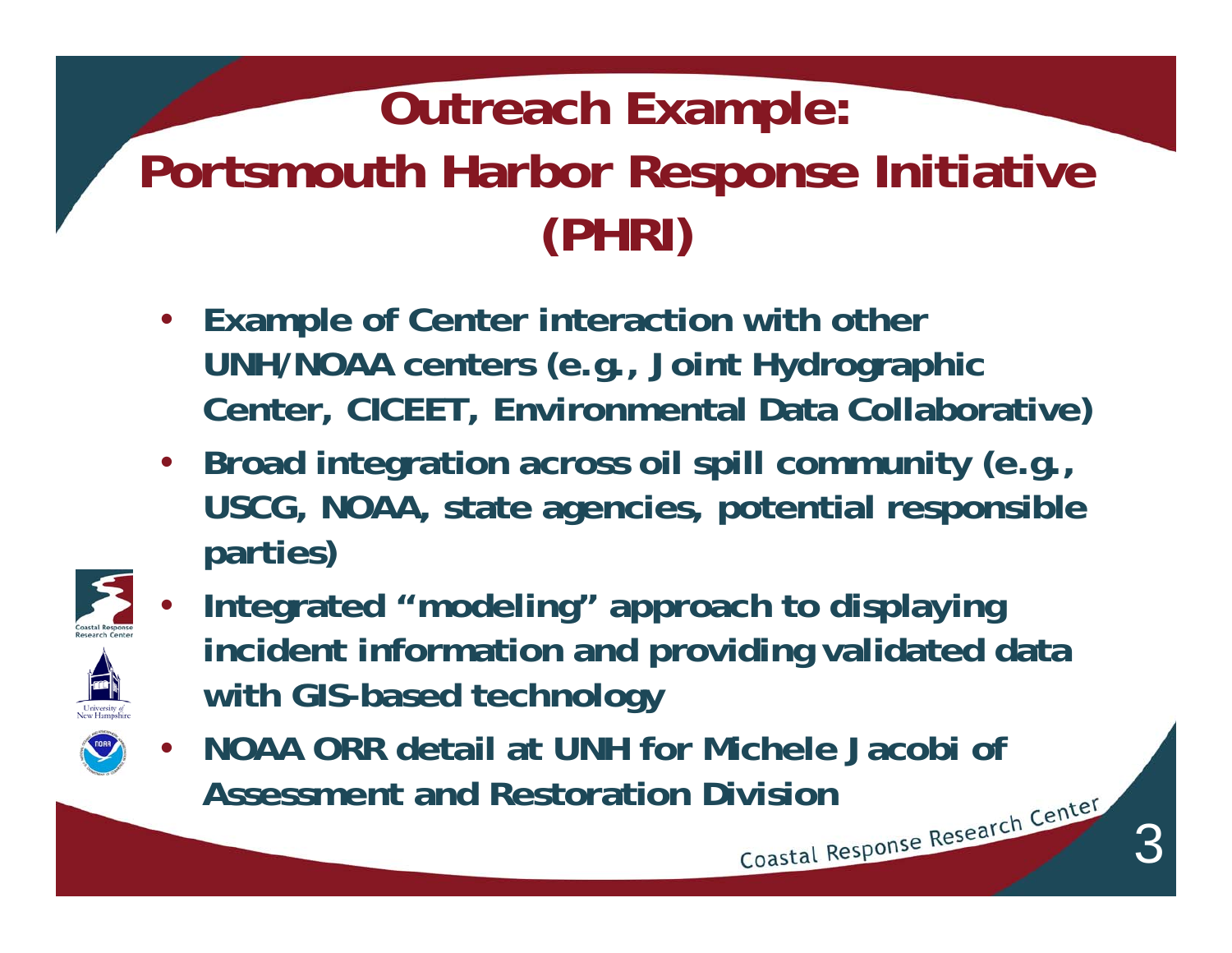## **Outreach Example: Portsmouth Harbor Response Initiative (PHRI)**

- **Example of Center interaction with other UNH/NOAA centers (e.g., Joint Hydrographic Center, CICEET, Environmental Data Collaborative)**
- **Broad integration across oil spill community (e.g., USCG, NOAA, state agencies, potential responsible parties)**



• **Integrated "modeling" approach to displaying incident information and providing validated data with GIS-based technology**

3

• **NOAA ORR detail at UNH for Michele Jacobi of Assessment and Restoration Division**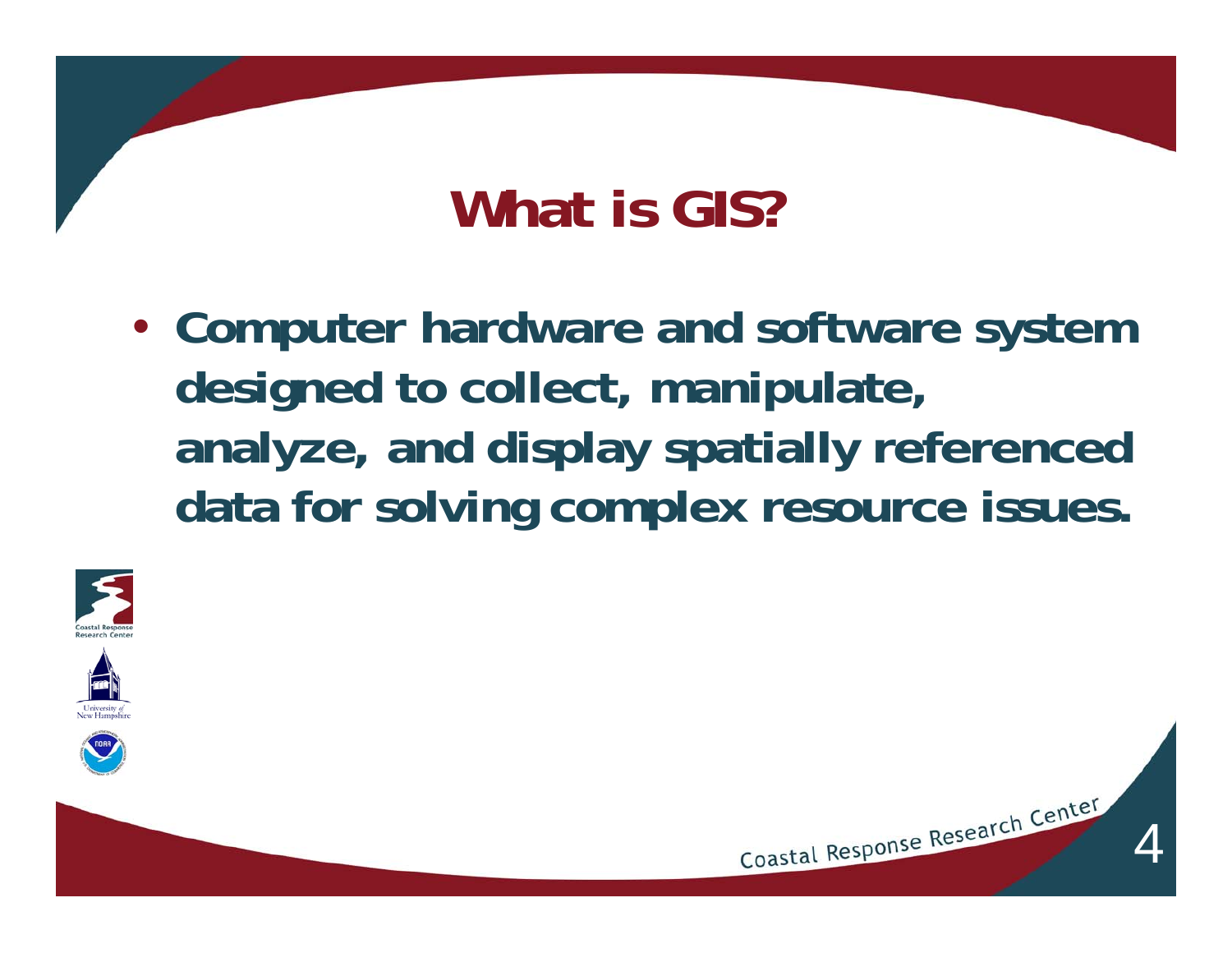## **What is GIS?**

• **Computer hardware and software system designed to collect, manipulate, analyze, and display spatially referenced data for solving complex resource issues.**

4



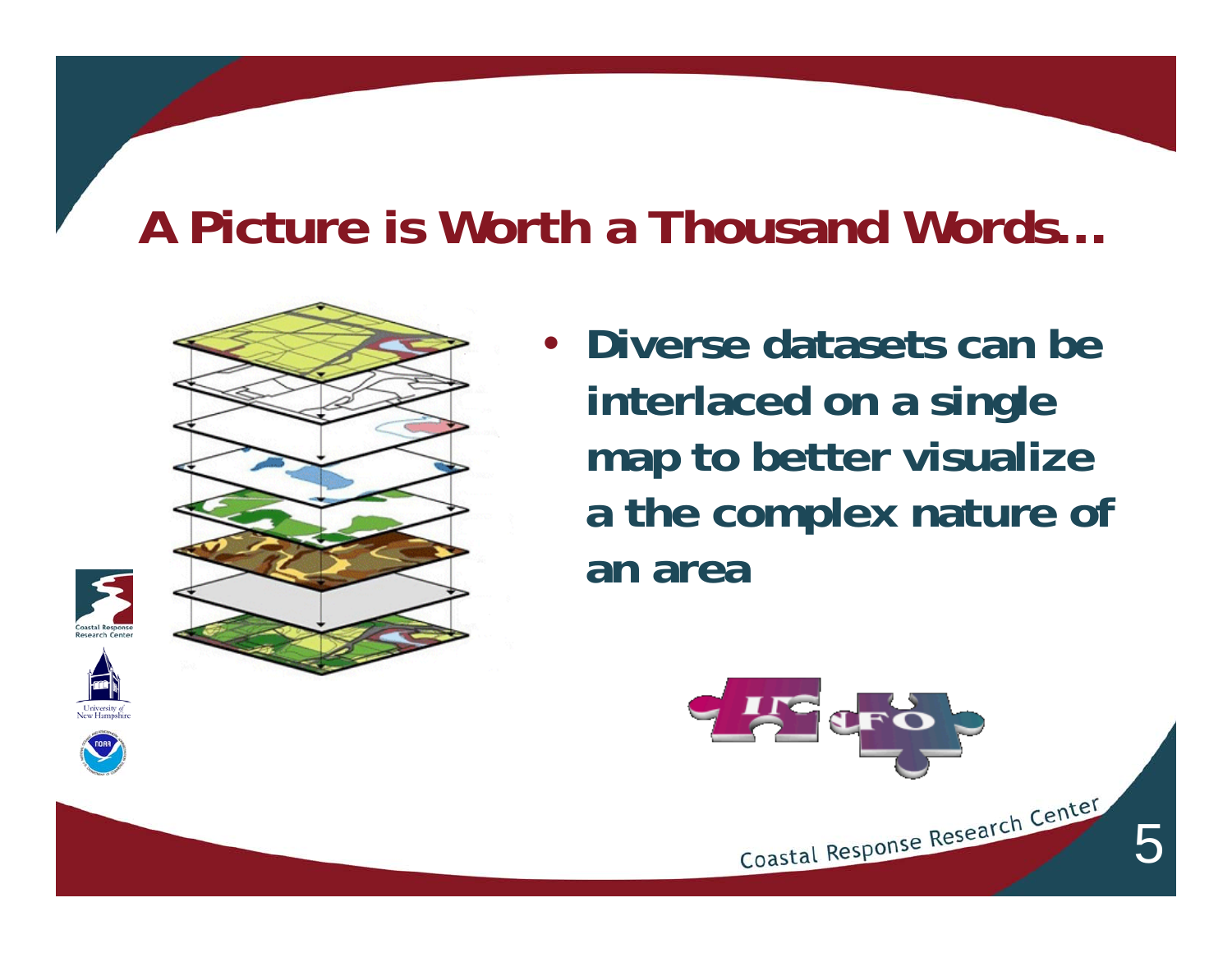#### **A Picture is Worth a Thousand Words…**



• **Diverse datasets can be interlaced on a single map to better visualize a the complex nature of an area**







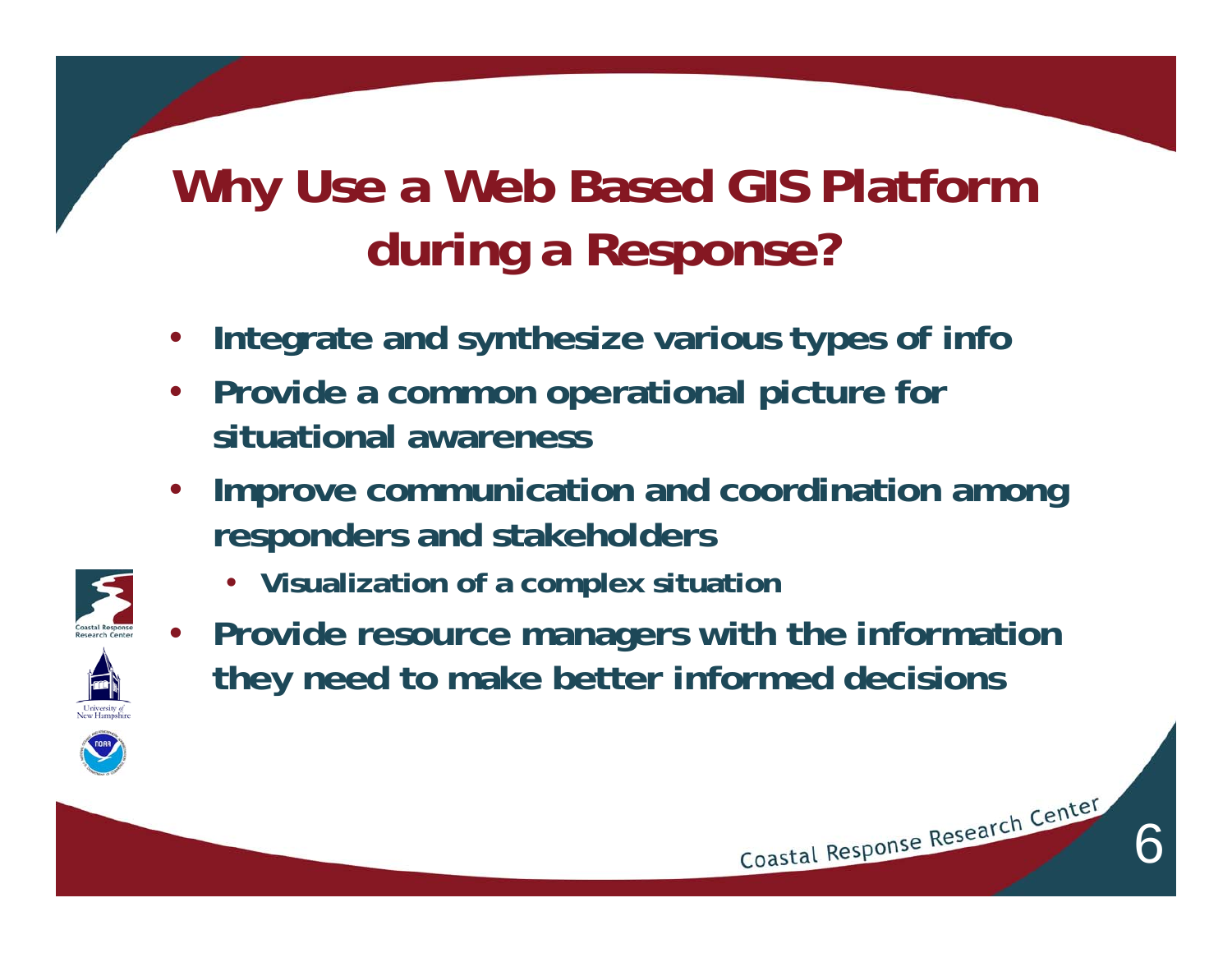## **Why Use a Web Based GIS Platform during a Response?**

- **Integrate and synthesize various types of info**
- **Provide a common operational picture for situational awareness**
- **Improve communication and coordination among responders and stakeholders**
	- **Visualization of a complex situation**



• **Provide resource managers with the information they need to make better informed decisions**

6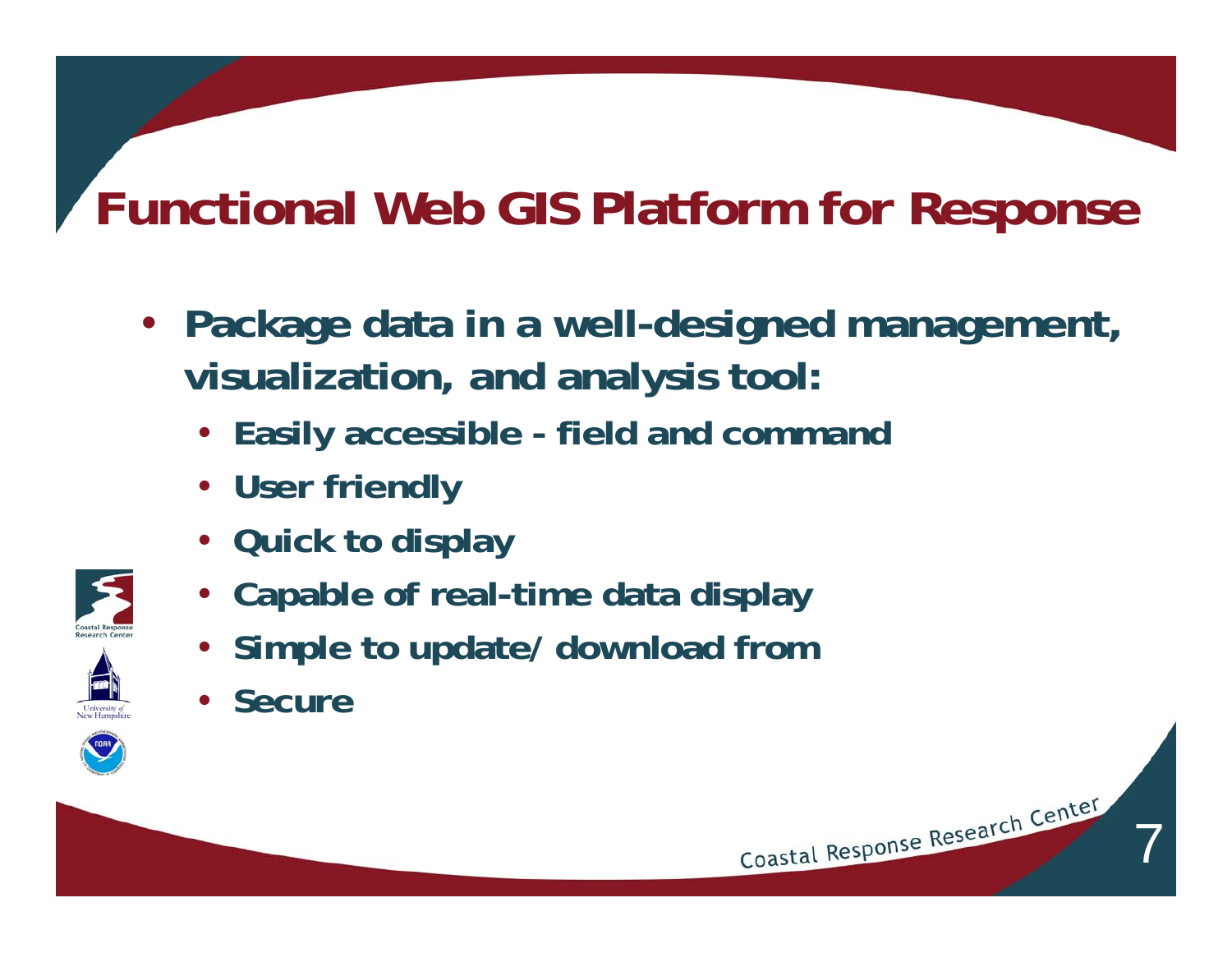## **Functional Web GIS Platform for Response**

• **Package data in a well-designed management, visualization, and analysis tool:**

7

- **Easily accessible field and command**
- **User friendly**
- **Quick to display**
- **Capable of real-time data display**
- **Simple to update/ download from**
- **Secure**

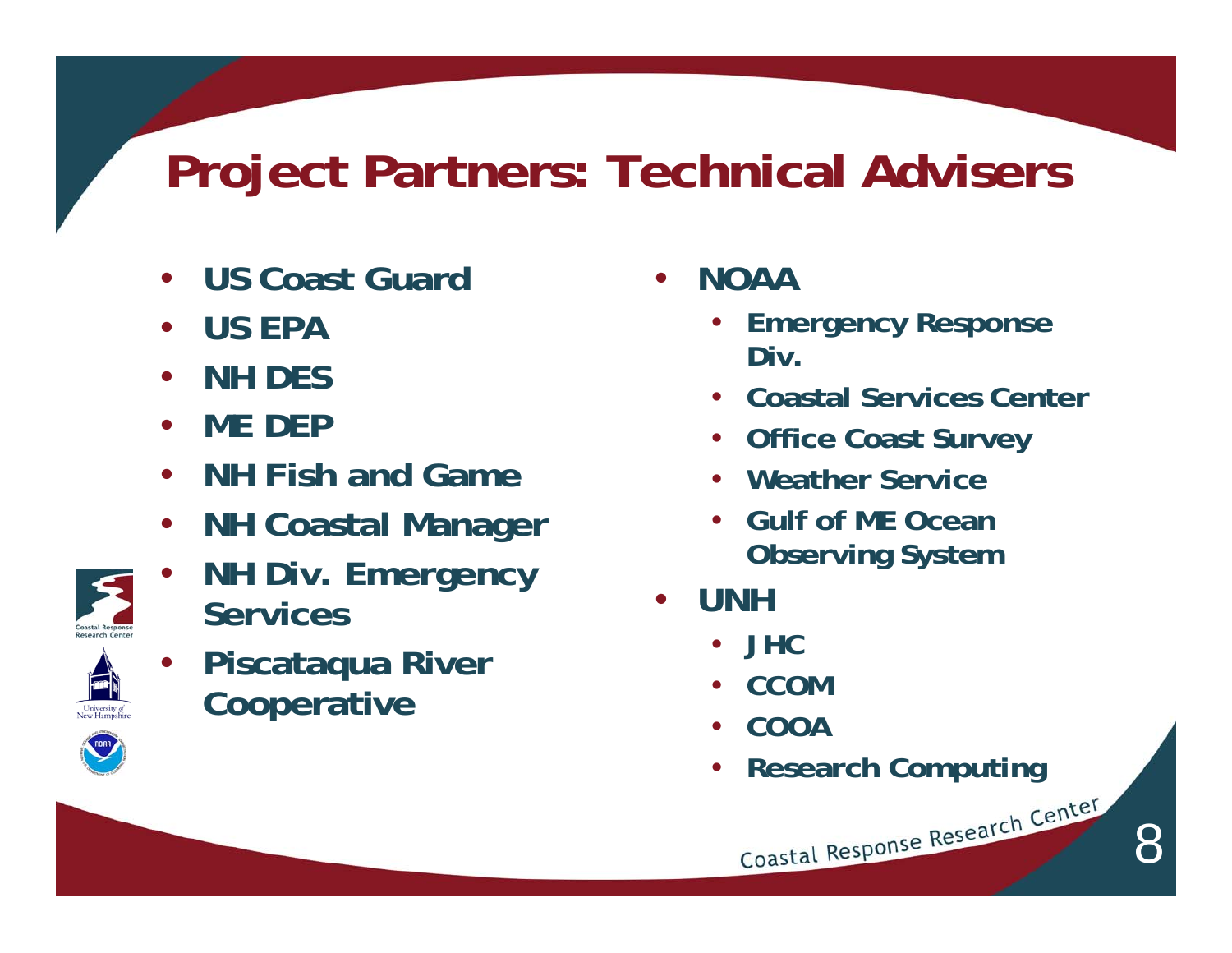## **Project Partners: Technical Advisers**

- **US Coast Guard**
- **US EPA**
- **NH DES**
- **ME DEP**
- **NH Fish and Game**
- **NH Coastal Manager**
- **NH Div. Emergency Services**



• **Piscataqua River Cooperative**

- **NOAA** 
	- **Emergency Response Div.**
	- **Coastal Services Center**
	- **Office Coast Survey**
	- **Weather Service**
	- **Gulf of ME Ocean Observing System**
- **UNH**
	- **JHC**
	- **CCOM**
	- **COOA**
	- **Research Computing**

Coastal Response Research Center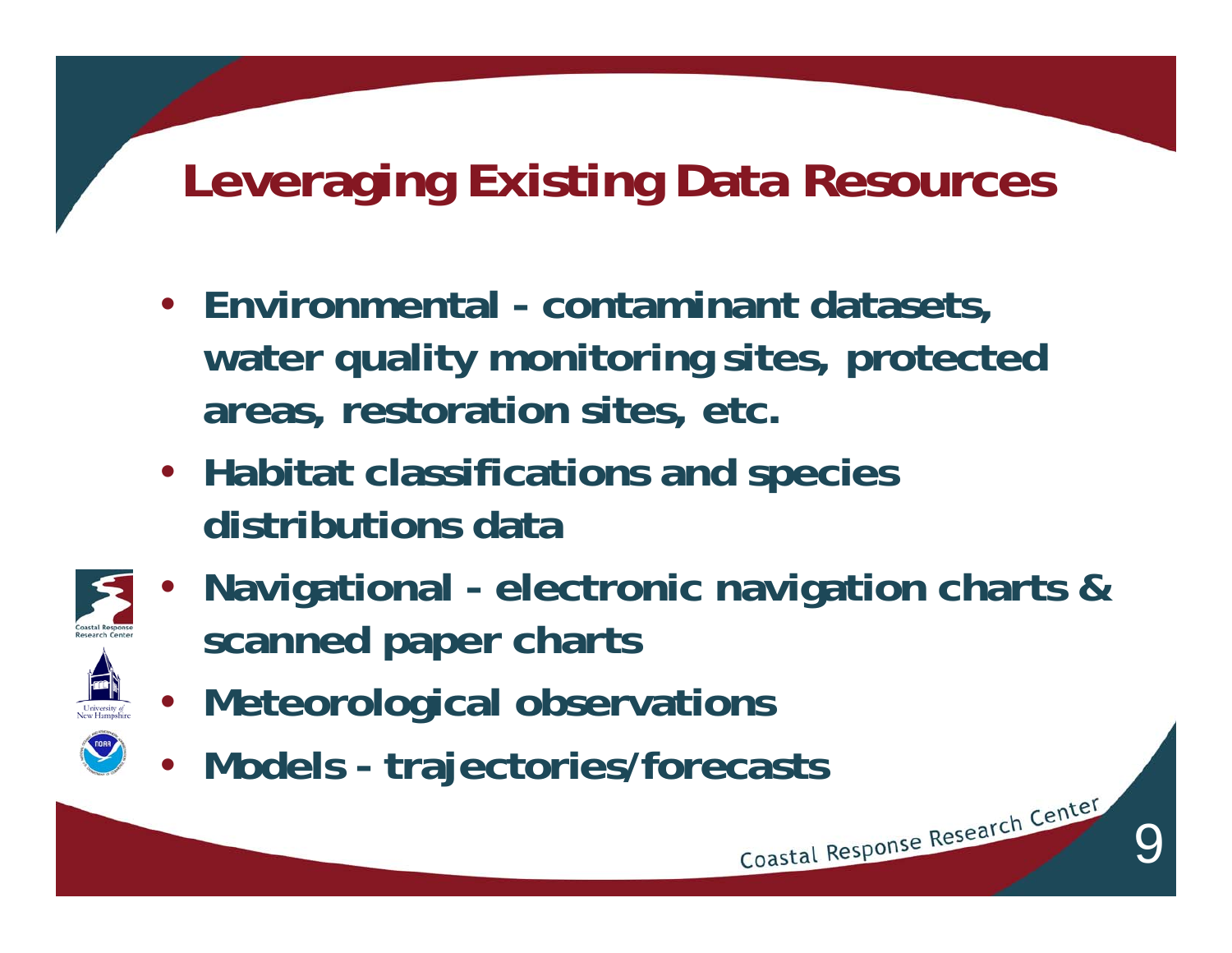## **Leveraging Existing Data Resources**

- **Environmental contaminant datasets, water quality monitoring sites, protected areas, restoration sites, etc.**
- **Habitat classifications and species distributions data**



• **Navigational - electronic navigation charts & scanned paper charts**

- **Meteorological observations**
- **Models trajectories/forecasts**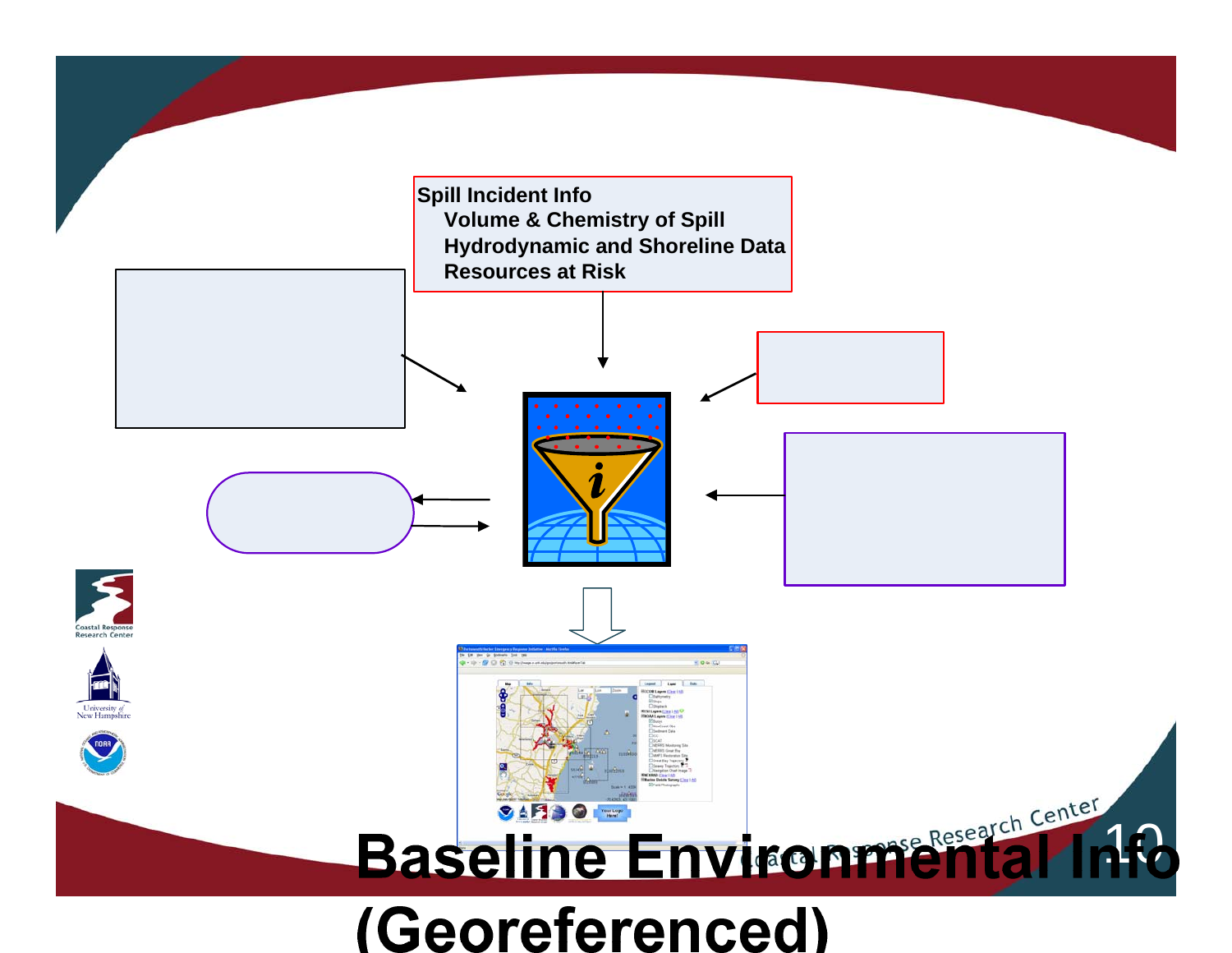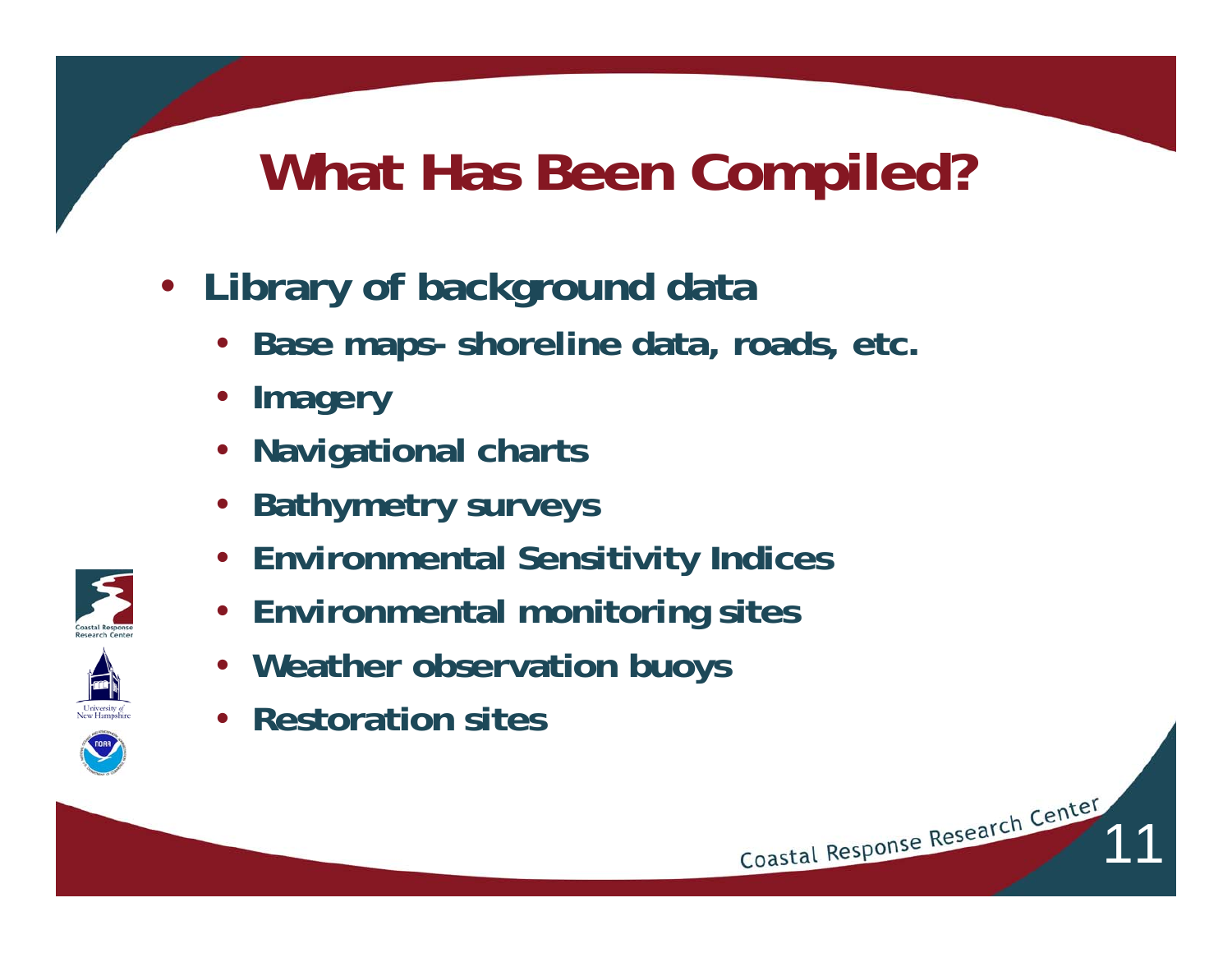## **What Has Been Compiled?**

- **Library of background data**
	- **Base maps- shoreline data, roads, etc.**
	- **Imagery**
	- **Navigational charts**
	- **Bathymetry surveys**
	- **Environmental Sensitivity Indices**
	- **Environmental monitoring sites**
	- **Weather observation buoys**
	- **Restoration sites**

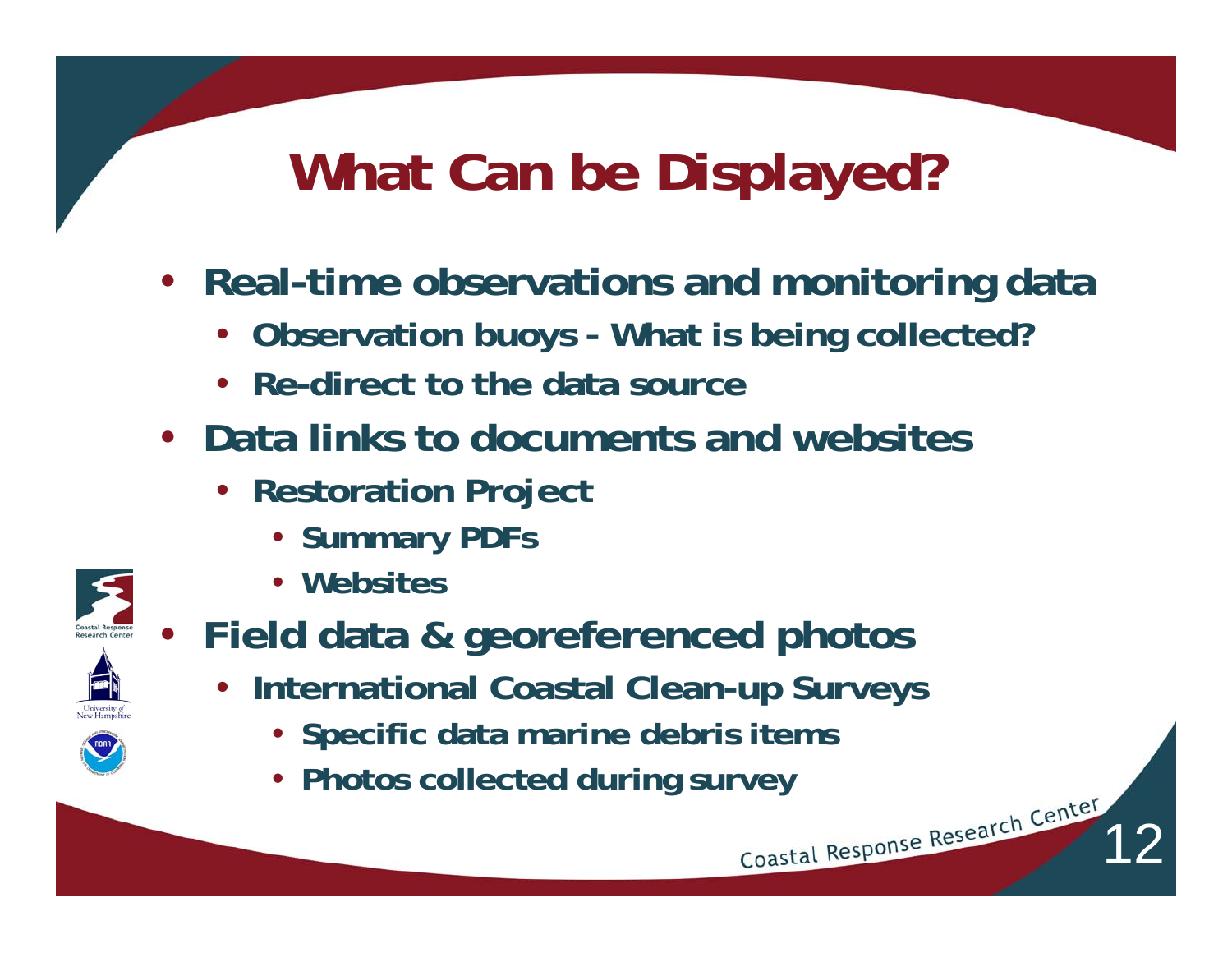## **What Can be Displayed?**

- **Real-time observations and monitoring data**
	- **Observation buoys What is being collected?**
	- **Re-direct to the data source**
- **Data links to documents and websites** 
	- **Restoration Project**
		- **Summary PDFs**
		- **Websites**



- **Field data & georeferenced photos**
	- **International Coastal Clean-up Surveys**

- **Specific data marine debris items**
- Photos collected during survey<br> **Expanding Survey**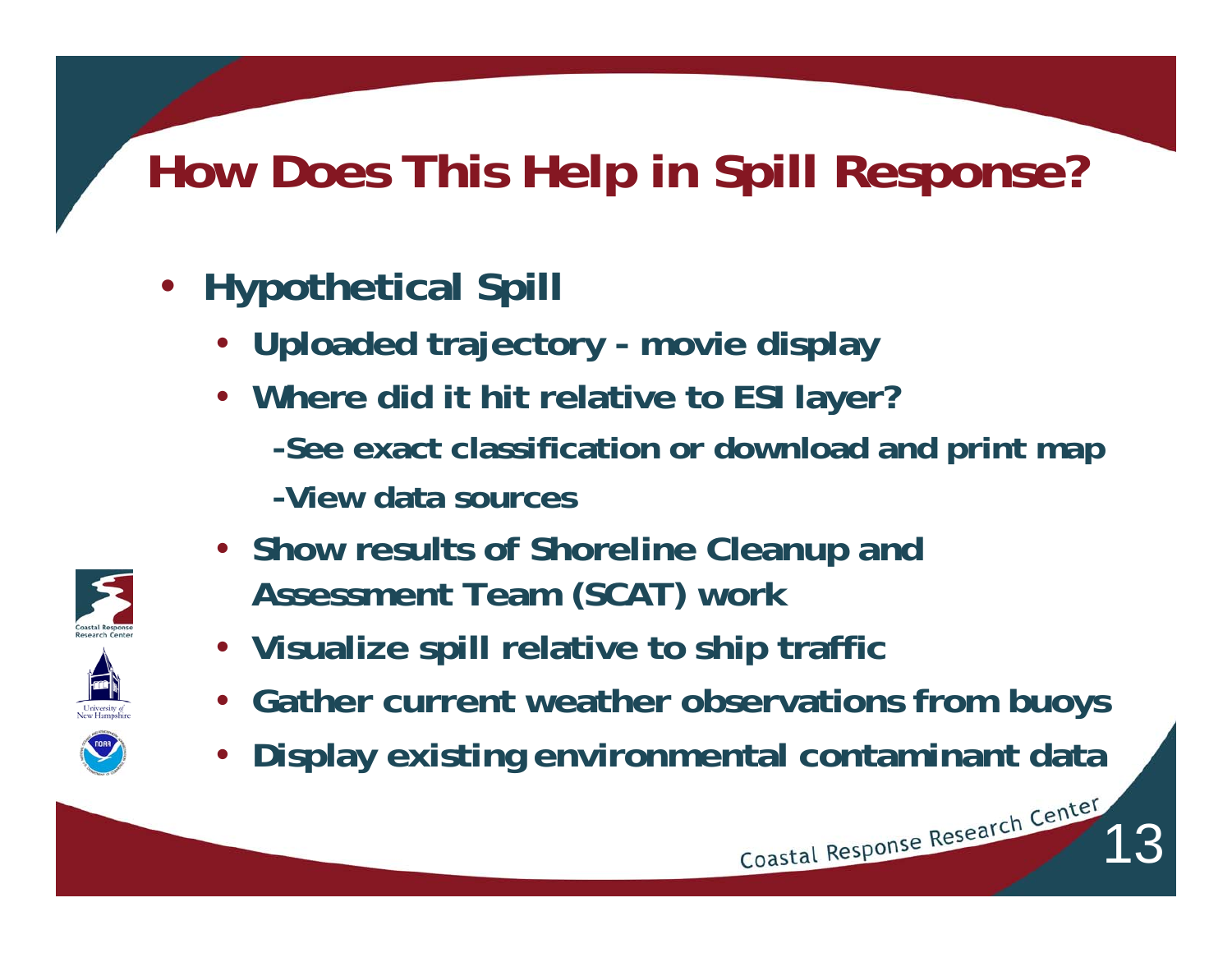## **How Does This Help in Spill Response?**

- **Hypothetical Spill**
	- **Uploaded trajectory movie display**
	- **Where did it hit relative to ESI layer? -See exact classification or download and print map -View data sources**
	- **Show results of Shoreline Cleanup and Assessment Team (SCAT) work**
	- **Visualize spill relative to ship traffic**
	- **Gather current weather observations from buoys**
	- **Display existing environmental contaminant data**

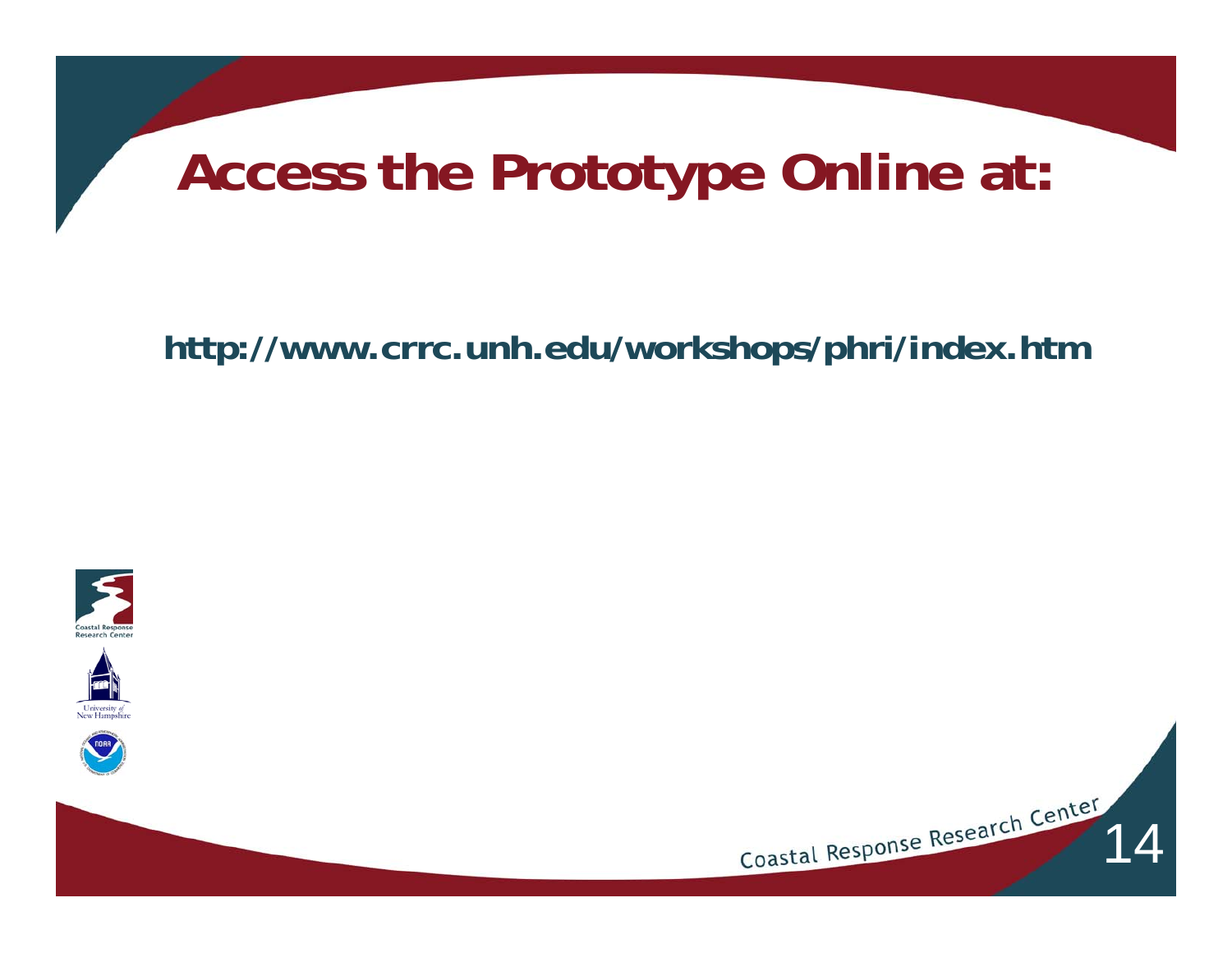## **Access the Prototype Online at:**

**http://www.crrc.unh.edu/workshops/phri/index.htm**





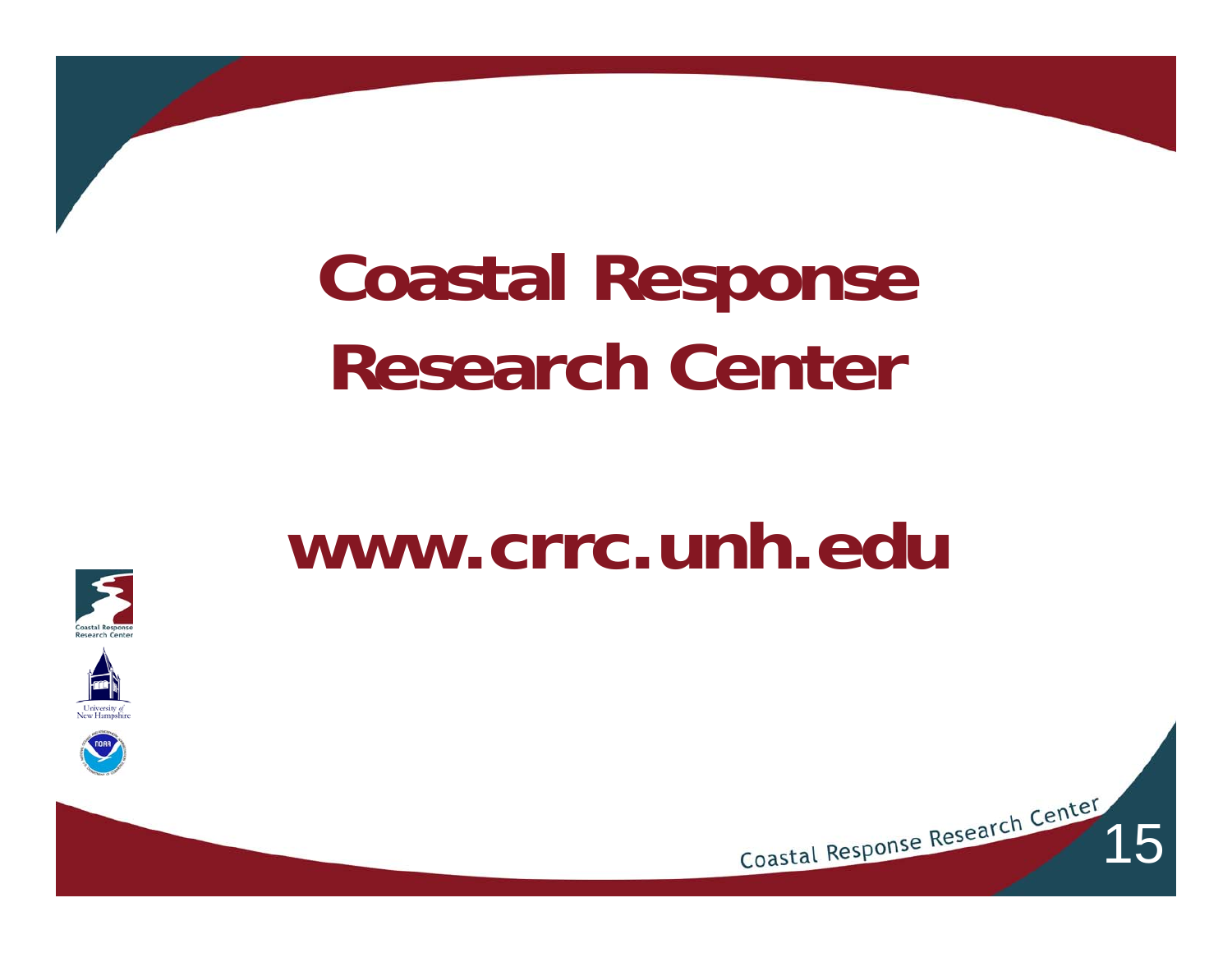# **Coastal Response Research Center**

## **www.crrc.unh.edu**



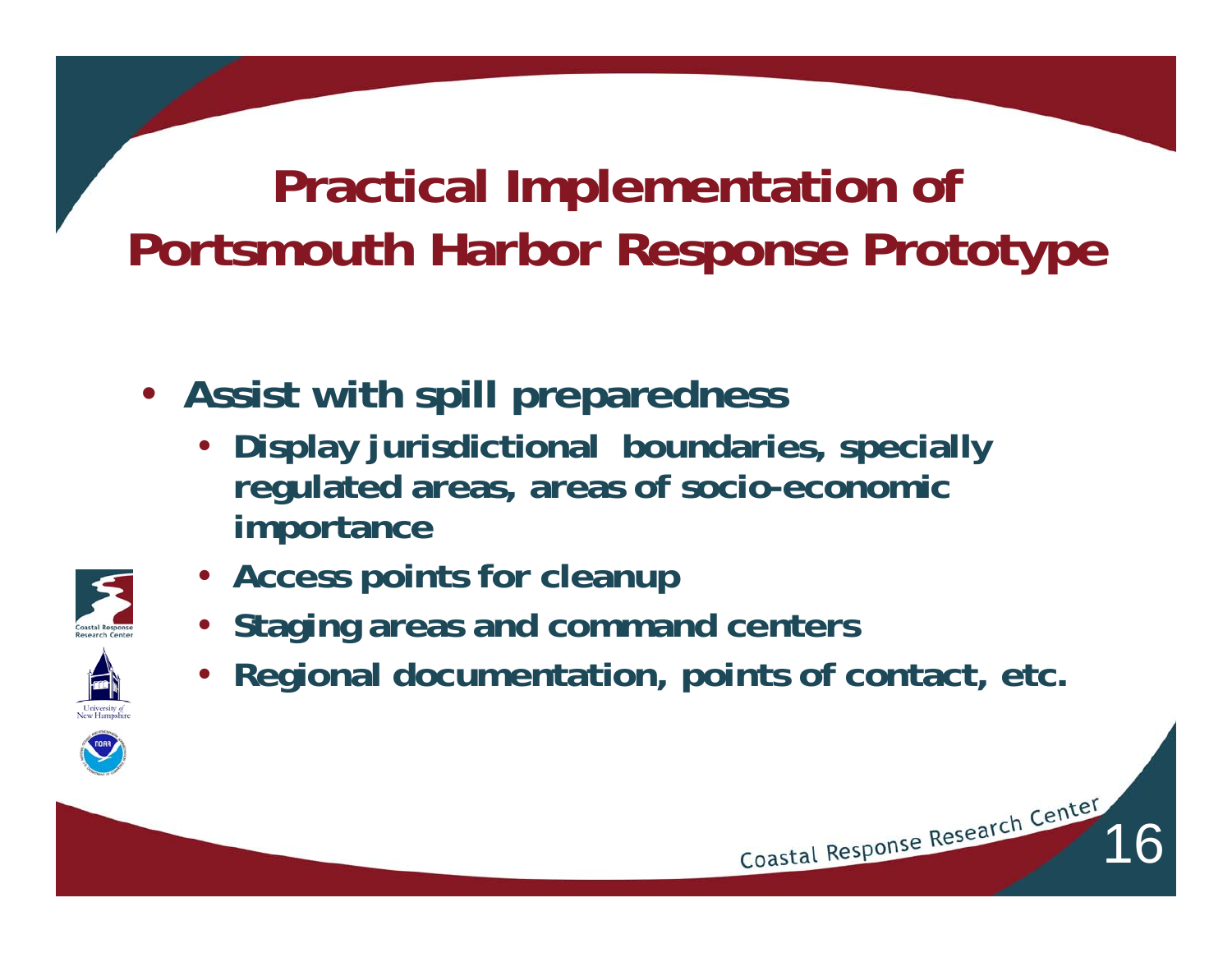- **Assist with spill preparedness** 
	- **Display jurisdictional boundaries, specially regulated areas, areas of socio-economic importance**



- **Access points for cleanup**
- **Staging areas and command centers**
- **Regional documentation, points of contact, etc.**

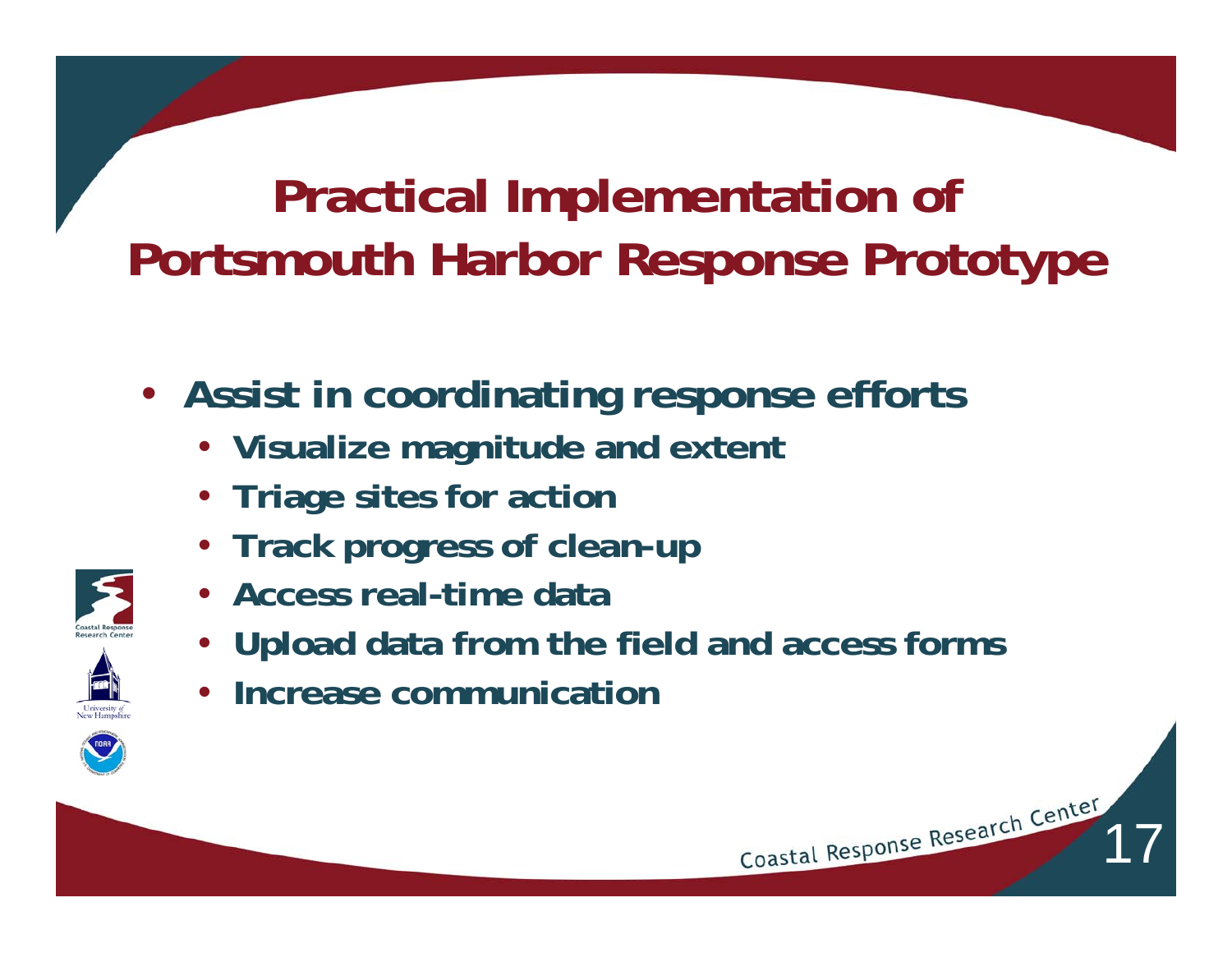- **Assist in coordinating response efforts**
	- **Visualize magnitude and extent**
	- **Triage sites for action**
	- **Track progress of clean-up**
	- **Access real-time data**
	- **Upload data from the field and access forms**

17

• **Increase communication**

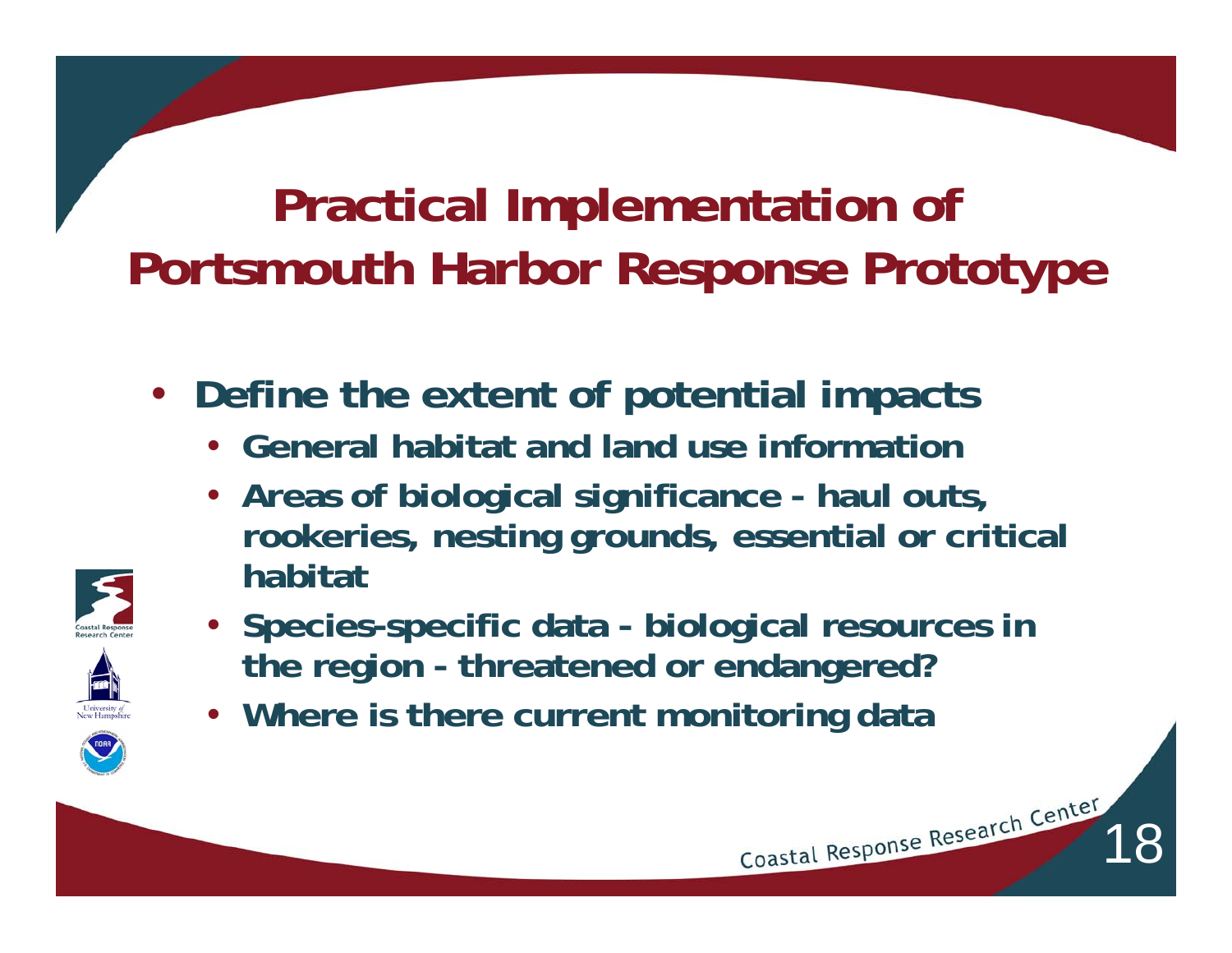- **Define the extent of potential impacts**
	- **General habitat and land use information**
	- **Areas of biological significance haul outs, rookeries, nesting grounds, essential or critical habitat**



- **Species-specific data biological resources in the region - threatened or endangered?**
- **Where is there current monitoring data**